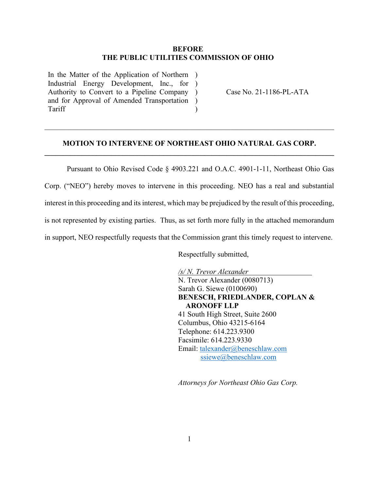#### **BEFORE THE PUBLIC UTILITIES COMMISSION OF OHIO**

In the Matter of the Application of Northern ) Industrial Energy Development, Inc., for ) Authority to Convert to a Pipeline Company ) and for Approval of Amended Transportation ) Tariff

Case No. 21-1186-PL-ATA

## **MOTION TO INTERVENE OF NORTHEAST OHIO NATURAL GAS CORP. \_\_\_\_\_\_\_\_\_\_\_\_\_\_\_\_\_\_\_\_\_\_\_\_\_\_\_\_\_\_\_\_\_\_\_\_\_\_\_\_\_\_\_\_\_\_\_\_\_\_\_\_\_\_\_\_\_\_\_\_\_\_\_\_\_\_\_\_\_\_\_\_\_\_\_\_\_\_**

\_\_\_\_\_\_\_\_\_\_\_\_\_\_\_\_\_\_\_\_\_\_\_\_\_\_\_\_\_\_\_\_\_\_\_\_\_\_\_\_\_\_\_\_\_\_\_\_\_\_\_\_\_\_\_\_\_\_\_\_\_\_\_\_\_\_\_\_\_\_\_\_\_\_\_\_\_\_

)

Pursuant to Ohio Revised Code § 4903.221 and O.A.C. 4901-1-11, Northeast Ohio Gas Corp. ("NEO") hereby moves to intervene in this proceeding. NEO has a real and substantial interest in this proceeding and its interest, which may be prejudiced by the result of this proceeding, is not represented by existing parties. Thus, as set forth more fully in the attached memorandum in support, NEO respectfully requests that the Commission grant this timely request to intervene.

Respectfully submitted,

*/s/ N. Trevor Alexander* N. Trevor Alexander (0080713) Sarah G. Siewe (0100690) **BENESCH, FRIEDLANDER, COPLAN & ARONOFF LLP** 41 South High Street, Suite 2600 Columbus, Ohio 43215-6164 Telephone: 614.223.9300 Facsimile: 614.223.9330 Email: [talexander@beneschlaw.com](mailto:talexander@beneschlaw.com) [ssiewe@beneschlaw.com](mailto:ssiewe@beneschlaw.com)

*Attorneys for Northeast Ohio Gas Corp.*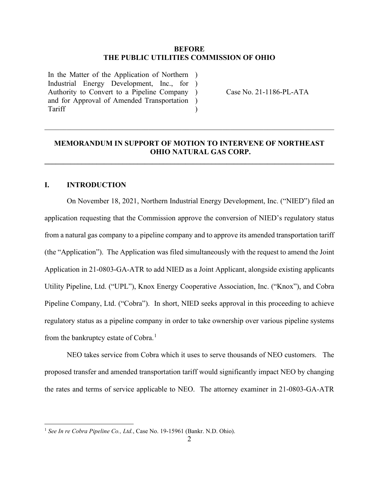#### **BEFORE THE PUBLIC UTILITIES COMMISSION OF OHIO**

In the Matter of the Application of Northern ) Industrial Energy Development, Inc., for ) Authority to Convert to a Pipeline Company ) and for Approval of Amended Transportation ) Tariff

Case No. 21-1186-PL-ATA

## **MEMORANDUM IN SUPPORT OF MOTION TO INTERVENE OF NORTHEAST OHIO NATURAL GAS CORP.**

**\_\_\_\_\_\_\_\_\_\_\_\_\_\_\_\_\_\_\_\_\_\_\_\_\_\_\_\_\_\_\_\_\_\_\_\_\_\_\_\_\_\_\_\_\_\_\_\_\_\_\_\_\_\_\_\_\_\_\_\_\_\_\_\_\_\_\_\_\_\_\_\_\_\_\_\_\_\_**

\_\_\_\_\_\_\_\_\_\_\_\_\_\_\_\_\_\_\_\_\_\_\_\_\_\_\_\_\_\_\_\_\_\_\_\_\_\_\_\_\_\_\_\_\_\_\_\_\_\_\_\_\_\_\_\_\_\_\_\_\_\_\_\_\_\_\_\_\_\_\_\_\_\_\_\_\_\_

)

## **I. INTRODUCTION**

On November 18, 2021, Northern Industrial Energy Development, Inc. ("NIED") filed an application requesting that the Commission approve the conversion of NIED's regulatory status from a natural gas company to a pipeline company and to approve its amended transportation tariff (the "Application"). The Application was filed simultaneously with the request to amend the Joint Application in 21-0803-GA-ATR to add NIED as a Joint Applicant, alongside existing applicants Utility Pipeline, Ltd. ("UPL"), Knox Energy Cooperative Association, Inc. ("Knox"), and Cobra Pipeline Company, Ltd. ("Cobra"). In short, NIED seeks approval in this proceeding to achieve regulatory status as a pipeline company in order to take ownership over various pipeline systems from the bankruptcy estate of Cobra.<sup>[1](#page-1-0)</sup>

NEO takes service from Cobra which it uses to serve thousands of NEO customers. The proposed transfer and amended transportation tariff would significantly impact NEO by changing the rates and terms of service applicable to NEO. The attorney examiner in 21-0803-GA-ATR

<span id="page-1-0"></span><sup>1</sup> *See In re Cobra Pipeline Co., Ltd.*, Case No. 19-15961 (Bankr. N.D. Ohio).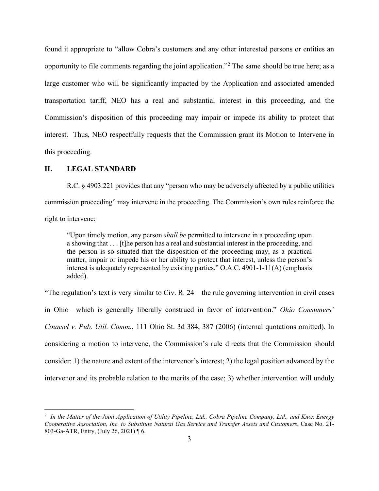found it appropriate to "allow Cobra's customers and any other interested persons or entities an opportunity to file comments regarding the joint application."[2](#page-2-0) The same should be true here; as a large customer who will be significantly impacted by the Application and associated amended transportation tariff, NEO has a real and substantial interest in this proceeding, and the Commission's disposition of this proceeding may impair or impede its ability to protect that interest. Thus, NEO respectfully requests that the Commission grant its Motion to Intervene in this proceeding.

#### **II. LEGAL STANDARD**

R.C. § 4903.221 provides that any "person who may be adversely affected by a public utilities commission proceeding" may intervene in the proceeding. The Commission's own rules reinforce the right to intervene:

"Upon timely motion, any person *shall be* permitted to intervene in a proceeding upon a showing that . . . [t]he person has a real and substantial interest in the proceeding, and the person is so situated that the disposition of the proceeding may, as a practical matter, impair or impede his or her ability to protect that interest, unless the person's interest is adequately represented by existing parties." O.A.C. 4901-1-11(A) (emphasis added).

"The regulation's text is very similar to Civ. R. 24—the rule governing intervention in civil cases in Ohio—which is generally liberally construed in favor of intervention." *Ohio Consumers' Counsel v. Pub. Util. Comm.*, 111 Ohio St. 3d 384, 387 (2006) (internal quotations omitted). In considering a motion to intervene, the Commission's rule directs that the Commission should consider: 1) the nature and extent of the intervenor's interest; 2) the legal position advanced by the intervenor and its probable relation to the merits of the case; 3) whether intervention will unduly

<span id="page-2-0"></span><sup>2</sup> *In the Matter of the Joint Application of Utility Pipeline, Ltd., Cobra Pipeline Company, Ltd., and Knox Energy Cooperative Association, Inc. to Substitute Natural Gas Service and Transfer Assets and Customers*, Case No. 21- 803-Ga-ATR, Entry, (July 26, 2021) ¶ 6.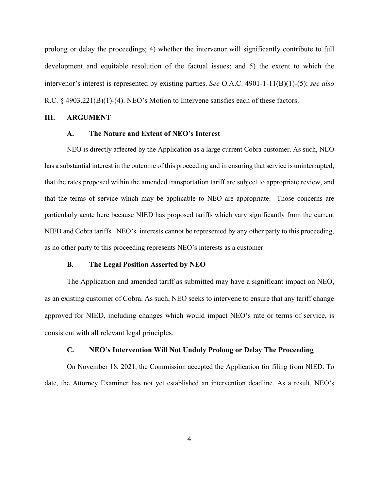prolong or delay the proceedings; 4) whether the intervenor will significantly contribute to full development and equitable resolution of the factual issues; and 5) the extent to which the intervenor's interest is represented by existing parties. *See* O.A.C. 4901-1-11(B)(1)-(5); *see also*  R.C. § 4903.221(B)(1)-(4). NEO's Motion to Intervene satisfies each of these factors.

#### **III. ARGUMENT**

## **A. The Nature and Extent of NEO's Interest**

NEO is directly affected by the Application as a large current Cobra customer. As such, NEO has a substantial interest in the outcome of this proceeding and in ensuring that service is uninterrupted, that the rates proposed within the amended transportation tariff are subject to appropriate review, and that the terms of service which may be applicable to NEO are appropriate. Those concerns are particularly acute here because NIED has proposed tariffs which vary significantly from the current NIED and Cobra tariffs. NEO's interests cannot be represented by any other party to this proceeding, as no other party to this proceeding represents NEO's interests as a customer.

#### **B. The Legal Position Asserted by NEO**

The Application and amended tariff as submitted may have a significant impact on NEO, as an existing customer of Cobra. As such, NEO seeks to intervene to ensure that any tariff change approved for NIED, including changes which would impact NEO's rate or terms of service, is consistent with all relevant legal principles.

#### **C. NEO's Intervention Will Not Unduly Prolong or Delay The Proceeding**

On November 18, 2021, the Commission accepted the Application for filing from NIED. To date, the Attorney Examiner has not yet established an intervention deadline. As a result, NEO's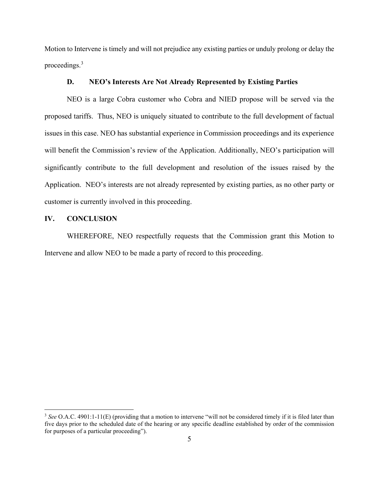Motion to Intervene is timely and will not prejudice any existing parties or unduly prolong or delay the proceedings.[3](#page-4-0)

### **D. NEO's Interests Are Not Already Represented by Existing Parties**

NEO is a large Cobra customer who Cobra and NIED propose will be served via the proposed tariffs. Thus, NEO is uniquely situated to contribute to the full development of factual issues in this case. NEO has substantial experience in Commission proceedings and its experience will benefit the Commission's review of the Application. Additionally, NEO's participation will significantly contribute to the full development and resolution of the issues raised by the Application. NEO's interests are not already represented by existing parties, as no other party or customer is currently involved in this proceeding.

### **IV. CONCLUSION**

WHEREFORE, NEO respectfully requests that the Commission grant this Motion to Intervene and allow NEO to be made a party of record to this proceeding.

<span id="page-4-0"></span><sup>&</sup>lt;sup>3</sup> See O.A.C. 4901:1-11(E) (providing that a motion to intervene "will not be considered timely if it is filed later than five days prior to the scheduled date of the hearing or any specific deadline established by order of the commission for purposes of a particular proceeding").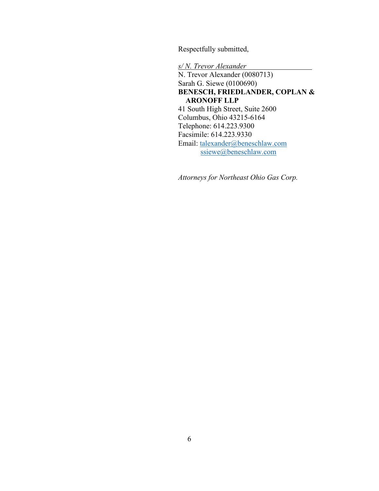Respectfully submitted,

*s/ N. Trevor Alexander* N. Trevor Alexander (0080713) Sarah G. Siewe (0100690) **BENESCH, FRIEDLANDER, COPLAN & ARONOFF LLP** 41 South High Street, Suite 2600 Columbus, Ohio 43215-6164 Telephone: 614.223.9300 Facsimile: 614.223.9330 Email: [talexander@beneschlaw.com](mailto:talexander@beneschlaw.com) [ssiewe@beneschlaw.com](mailto:ssiewe@beneschlaw.com)

*Attorneys for Northeast Ohio Gas Corp.*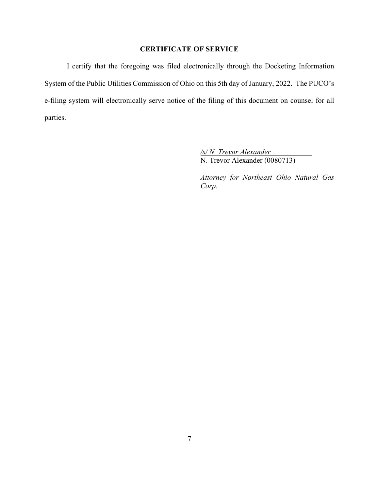## **CERTIFICATE OF SERVICE**

I certify that the foregoing was filed electronically through the Docketing Information System of the Public Utilities Commission of Ohio on this 5th day of January, 2022. The PUCO's e-filing system will electronically serve notice of the filing of this document on counsel for all parties.

> */s/ N. Trevor Alexander* N. Trevor Alexander (0080713)

*Attorney for Northeast Ohio Natural Gas Corp.*